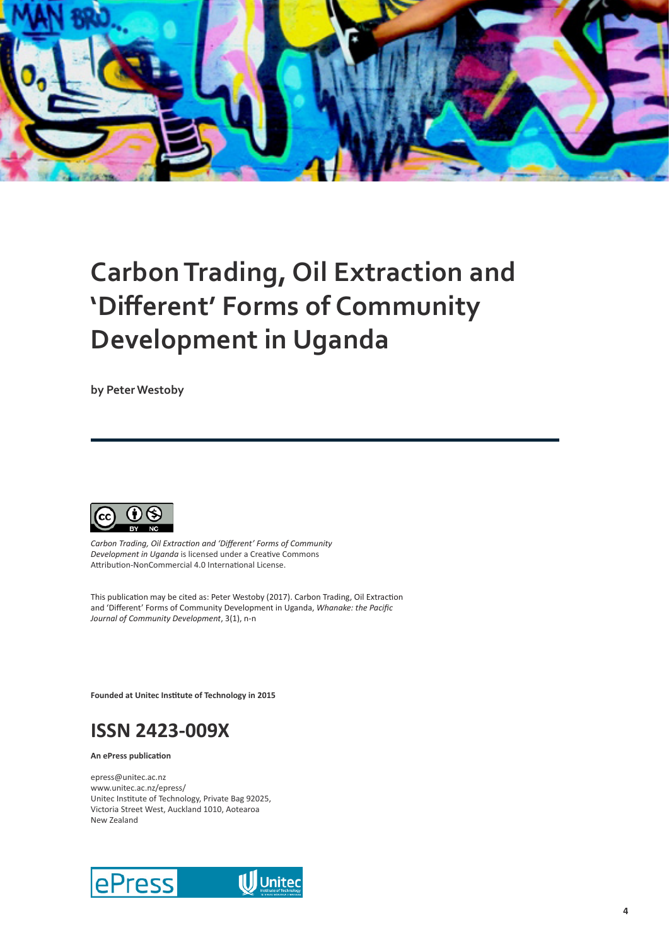

# **Carbon Trading, Oil Extraction and 'Different' Forms of Community Development in Uganda**

**by PeterWestoby**



*Carbon Trading, Oil Extraction and 'Different' Forms of Community Development in Uganda* is licensed under a Creative Commons Attribution-NonCommercial 4.0 International License.

This publication may be cited as: Peter Westoby (2017). Carbon Trading, Oil Extraction and 'Different' Forms of Community Development in Uganda, *Whanake: the Pacific Journal of Community Development*, 3(1), n-n

**Founded at Unitec Institute of Technology in 2015**

# **ISSN 2423-009X**

**An ePress publication**

epress@unitec.ac.nz www.unitec.ac.nz/epress/ Unitec Institute of Technology, Private Bag 92025, Victoria Street West, Auckland 1010, Aotearoa New Zealand

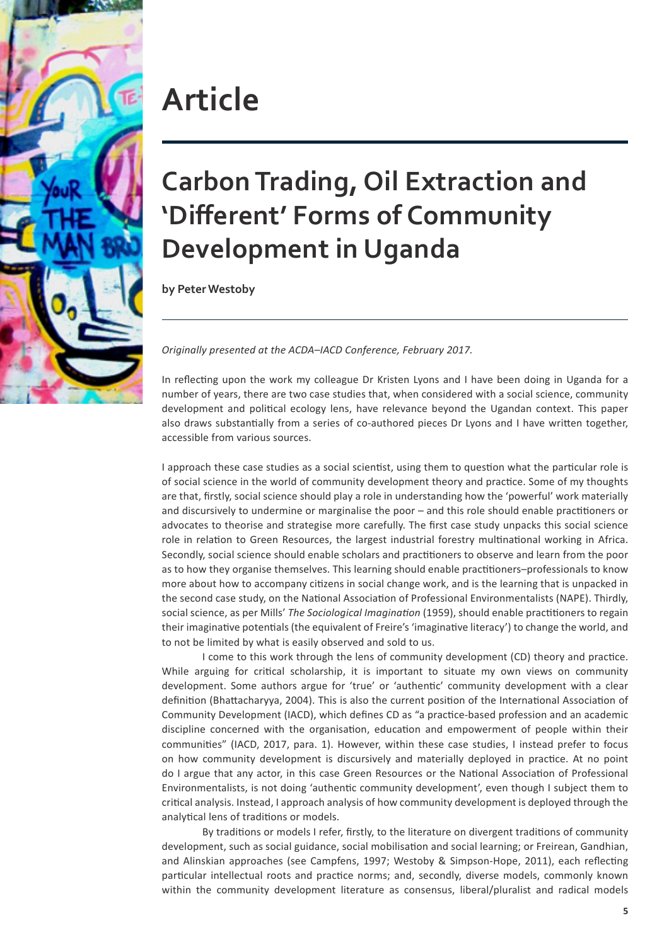

# **Article**

# **Carbon Trading, Oil Extraction and 'Different' Forms of Community Development in Uganda**

**by PeterWestoby**

*Originally presented at the ACDA–IACD Conference, February 2017.*

In reflecting upon the work my colleague Dr Kristen Lyons and I have been doing in Uganda for a number of years, there are two case studies that, when considered with a social science, community development and political ecology lens, have relevance beyond the Ugandan context. This paper also draws substantially from a series of co-authored pieces Dr Lyons and I have written together, accessible from various sources.

I approach these case studies as a social scientist, using them to question what the particular role is of social science in the world of community development theory and practice. Some of my thoughts are that, firstly, social science should play a role in understanding how the 'powerful' work materially and discursively to undermine or marginalise the poor – and this role should enable practitioners or advocates to theorise and strategise more carefully. The first case study unpacks this social science role in relation to Green Resources, the largest industrial forestry multinational working in Africa. Secondly, social science should enable scholars and practitioners to observe and learn from the poor as to how they organise themselves. This learning should enable practitioners–professionals to know more about how to accompany citizens in social change work, and is the learning that is unpacked in the second case study, on the National Association of Professional Environmentalists (NAPE). Thirdly, social science, as per Mills' *The Sociological Imagination* (1959), should enable practitioners to regain their imaginative potentials (the equivalent of Freire's 'imaginative literacy') to change the world, and to not be limited by what is easily observed and sold to us.

I come to this work through the lens of community development (CD) theory and practice. While arguing for critical scholarship, it is important to situate my own views on community development. Some authors argue for 'true' or 'authentic' community development with a clear definition (Bhattacharyya, 2004). This is also the current position of the International Association of Community Development (IACD), which defines CD as "a practice-based profession and an academic discipline concerned with the organisation, education and empowerment of people within their communities" (IACD, 2017, para. 1). However, within these case studies, I instead prefer to focus on how community development is discursively and materially deployed in practice. At no point do I argue that any actor, in this case Green Resources or the National Association of Professional Environmentalists, is not doing 'authentic community development', even though I subject them to critical analysis. Instead, I approach analysis of how community development is deployed through the analytical lens of traditions or models.

By traditions or models I refer, firstly, to the literature on divergent traditions of community development, such as social guidance, social mobilisation and social learning; or Freirean, Gandhian, and Alinskian approaches (see Campfens, 1997; Westoby & Simpson-Hope, 2011), each reflecting particular intellectual roots and practice norms; and, secondly, diverse models, commonly known within the community development literature as consensus, liberal/pluralist and radical models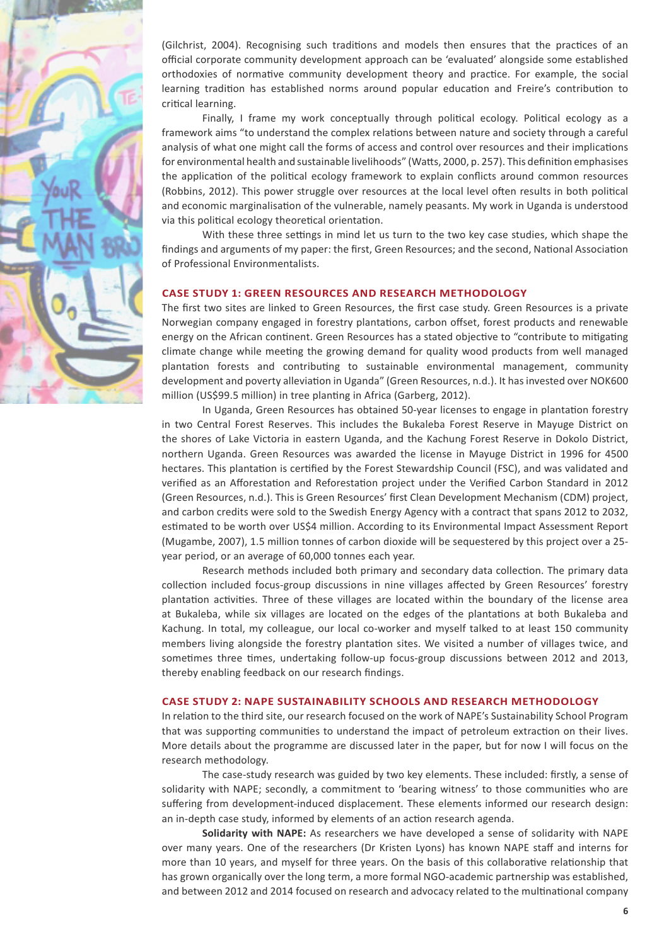

(Gilchrist, 2004). Recognising such traditions and models then ensures that the practices of an official corporate community development approach can be 'evaluated' alongside some established orthodoxies of normative community development theory and practice. For example, the social learning tradition has established norms around popular education and Freire's contribution to critical learning.

Finally, I frame my work conceptually through political ecology. Political ecology as a framework aims "to understand the complex relations between nature and society through a careful analysis of what one might call the forms of access and control over resources and their implications for environmental health and sustainable livelihoods" (Watts, 2000, p. 257). This definition emphasises the application of the political ecology framework to explain conflicts around common resources (Robbins, 2012). This power struggle over resources at the local level often results in both political and economic marginalisation of the vulnerable, namely peasants. My work in Uganda is understood via this political ecology theoretical orientation.

With these three settings in mind let us turn to the two key case studies, which shape the findings and arguments of my paper: the first, Green Resources; and the second, National Association of Professional Environmentalists.

## **CASE STUDY 1: GREEN RESOURCES AND RESEARCH METHODOLOGY**

The first two sites are linked to Green Resources, the first case study. Green Resources is a private Norwegian company engaged in forestry plantations, carbon offset, forest products and renewable energy on the African continent. Green Resources has a stated objective to "contribute to mitigating climate change while meeting the growing demand for quality wood products from well managed plantation forests and contributing to sustainable environmental management, community development and poverty alleviation in Uganda" (Green Resources, n.d.). It has invested over NOK600 million (US\$99.5 million) in tree planting in Africa (Garberg, 2012).

In Uganda, Green Resources has obtained 50-year licenses to engage in plantation forestry in two Central Forest Reserves. This includes the Bukaleba Forest Reserve in Mayuge District on the shores of Lake Victoria in eastern Uganda, and the Kachung Forest Reserve in Dokolo District, northern Uganda. Green Resources was awarded the license in Mayuge District in 1996 for 4500 hectares. This plantation is certified by the Forest Stewardship Council (FSC), and was validated and verified as an Afforestation and Reforestation project under the Verified Carbon Standard in 2012 (Green Resources, n.d.). This is Green Resources' first Clean Development Mechanism (CDM) project, and carbon credits were sold to the Swedish Energy Agency with a contract that spans 2012 to 2032, estimated to be worth over US\$4 million. According to its Environmental Impact Assessment Report (Mugambe, 2007), 1.5 million tonnes of carbon dioxide will be sequestered by this project over a 25 year period, or an average of 60,000 tonnes each year.

Research methods included both primary and secondary data collection. The primary data collection included focus-group discussions in nine villages affected by Green Resources' forestry plantation activities. Three of these villages are located within the boundary of the license area at Bukaleba, while six villages are located on the edges of the plantations at both Bukaleba and Kachung. In total, my colleague, our local co-worker and myself talked to at least 150 community members living alongside the forestry plantation sites. We visited a number of villages twice, and sometimes three times, undertaking follow-up focus-group discussions between 2012 and 2013, thereby enabling feedback on our research findings.

#### **CASE STUDY 2: NAPE SUSTAINABILITY SCHOOLS AND RESEARCH METHODOLOGY**

In relation to the third site, our research focused on the work of NAPE's Sustainability School Program that was supporting communities to understand the impact of petroleum extraction on their lives. More details about the programme are discussed later in the paper, but for now I will focus on the research methodology.

The case-study research was guided by two key elements. These included: firstly, a sense of solidarity with NAPE; secondly, a commitment to 'bearing witness' to those communities who are suffering from development-induced displacement. These elements informed our research design: an in-depth case study, informed by elements of an action research agenda.

**Solidarity with NAPE:** As researchers we have developed a sense of solidarity with NAPE over many years. One of the researchers (Dr Kristen Lyons) has known NAPE staff and interns for more than 10 years, and myself for three years. On the basis of this collaborative relationship that has grown organically over the long term, a more formal NGO-academic partnership was established, and between 2012 and 2014 focused on research and advocacy related to the multinational company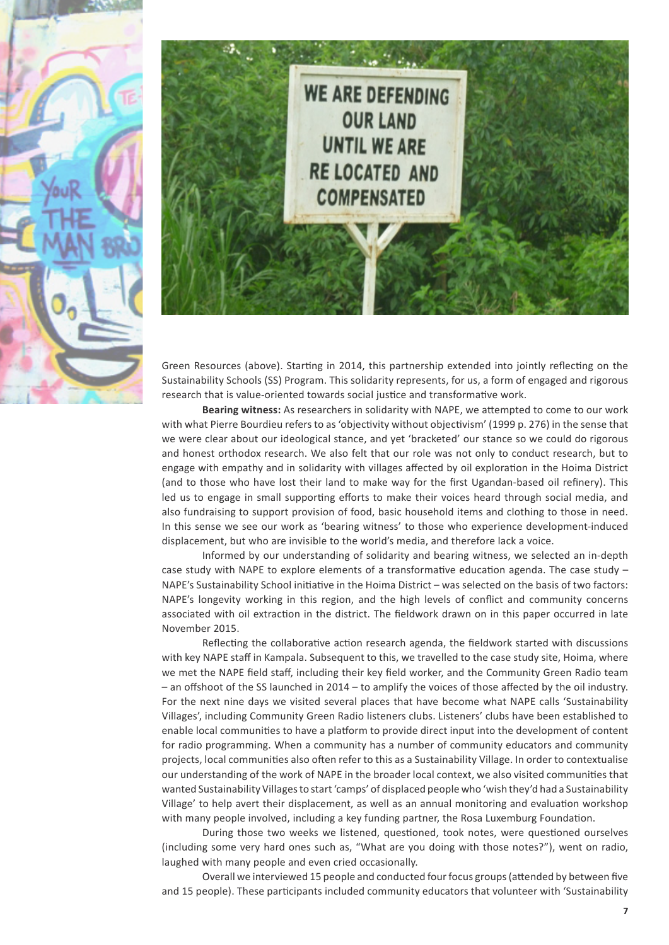



Green Resources (above). Starting in 2014, this partnership extended into jointly reflecting on the Sustainability Schools (SS) Program. This solidarity represents, for us, a form of engaged and rigorous research that is value-oriented towards social justice and transformative work.

**Bearing witness:** As researchers in solidarity with NAPE, we attempted to come to our work with what Pierre Bourdieu refers to as 'objectivity without objectivism' (1999 p. 276) in the sense that we were clear about our ideological stance, and yet 'bracketed' our stance so we could do rigorous and honest orthodox research. We also felt that our role was not only to conduct research, but to engage with empathy and in solidarity with villages affected by oil exploration in the Hoima District (and to those who have lost their land to make way for the first Ugandan-based oil refinery). This led us to engage in small supporting efforts to make their voices heard through social media, and also fundraising to support provision of food, basic household items and clothing to those in need. In this sense we see our work as 'bearing witness' to those who experience development-induced displacement, but who are invisible to the world's media, and therefore lack a voice.

Informed by our understanding of solidarity and bearing witness, we selected an in-depth case study with NAPE to explore elements of a transformative education agenda. The case study – NAPE's Sustainability School initiative in the Hoima District – was selected on the basis of two factors: NAPE's longevity working in this region, and the high levels of conflict and community concerns associated with oil extraction in the district. The fieldwork drawn on in this paper occurred in late November 2015.

Reflecting the collaborative action research agenda, the fieldwork started with discussions with key NAPE staff in Kampala. Subsequent to this, we travelled to the case study site, Hoima, where we met the NAPE field staff, including their key field worker, and the Community Green Radio team – an offshoot of the SS launched in 2014 – to amplify the voices of those affected by the oil industry. For the next nine days we visited several places that have become what NAPE calls 'Sustainability Villages', including Community Green Radio listeners clubs. Listeners' clubs have been established to enable local communities to have a platform to provide direct input into the development of content for radio programming. When a community has a number of community educators and community projects, local communities also often refer to this as a Sustainability Village. In order to contextualise our understanding of the work of NAPE in the broader local context, we also visited communities that wanted Sustainability Villages to start 'camps' of displaced people who 'wish they'd had a Sustainability Village' to help avert their displacement, as well as an annual monitoring and evaluation workshop with many people involved, including a key funding partner, the Rosa Luxemburg Foundation.

During those two weeks we listened, questioned, took notes, were questioned ourselves (including some very hard ones such as, "What are you doing with those notes?"), went on radio, laughed with many people and even cried occasionally.

Overall we interviewed 15 people and conducted four focus groups (attended by between five and 15 people). These participants included community educators that volunteer with 'Sustainability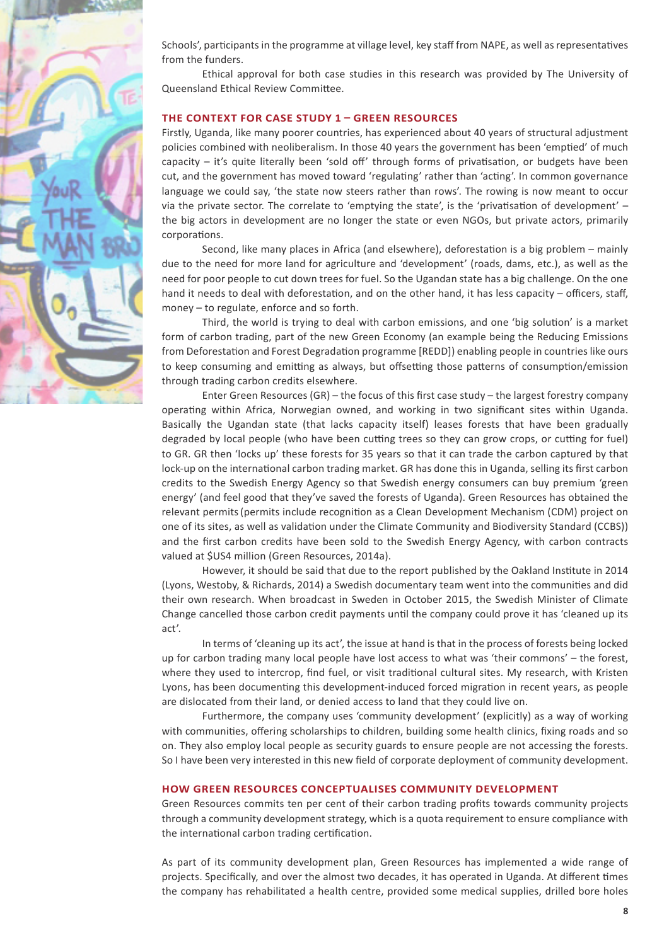

Schools', participants in the programme at village level, key staff from NAPE, as well as representatives from the funders.

Ethical approval for both case studies in this research was provided by The University of Queensland Ethical Review Committee.

# **THE CONTEXT FOR CASE STUDY 1 – GREEN RESOURCES**

Firstly, Uganda, like many poorer countries, has experienced about 40 years of structural adjustment policies combined with neoliberalism. In those 40 years the government has been 'emptied' of much capacity – it's quite literally been 'sold off' through forms of privatisation, or budgets have been cut, and the government has moved toward 'regulating' rather than 'acting'. In common governance language we could say, 'the state now steers rather than rows'. The rowing is now meant to occur via the private sector. The correlate to 'emptying the state', is the 'privatisation of development' – the big actors in development are no longer the state or even NGOs, but private actors, primarily corporations.

Second, like many places in Africa (and elsewhere), deforestation is a big problem – mainly due to the need for more land for agriculture and 'development' (roads, dams, etc.), as well as the need for poor people to cut down trees for fuel. So the Ugandan state has a big challenge. On the one hand it needs to deal with deforestation, and on the other hand, it has less capacity – officers, staff, money – to regulate, enforce and so forth.

Third, the world is trying to deal with carbon emissions, and one 'big solution' is a market form of carbon trading, part of the new Green Economy (an example being the Reducing Emissions from Deforestation and Forest Degradation programme [REDD]) enabling people in countries like ours to keep consuming and emitting as always, but offsetting those patterns of consumption/emission through trading carbon credits elsewhere.

Enter Green Resources (GR) – the focus of this first case study – the largest forestry company operating within Africa, Norwegian owned, and working in two significant sites within Uganda. Basically the Ugandan state (that lacks capacity itself) leases forests that have been gradually degraded by local people (who have been cutting trees so they can grow crops, or cutting for fuel) to GR. GR then 'locks up' these forests for 35 years so that it can trade the carbon captured by that lock-up on the international carbon trading market. GR has done this in Uganda, selling its first carbon credits to the Swedish Energy Agency so that Swedish energy consumers can buy premium 'green energy' (and feel good that they've saved the forests of Uganda). Green Resources has obtained the relevant permits (permits include recognition as a Clean Development Mechanism (CDM) project on one of its sites, as well as validation under the Climate Community and Biodiversity Standard (CCBS)) and the first carbon credits have been sold to the Swedish Energy Agency, with carbon contracts valued at \$US4 million (Green Resources, 2014a).

However, it should be said that due to the report published by the Oakland Institute in 2014 (Lyons, Westoby, & Richards, 2014) a Swedish documentary team went into the communities and did their own research. When broadcast in Sweden in October 2015, the Swedish Minister of Climate Change cancelled those carbon credit payments until the company could prove it has 'cleaned up its act'.

In terms of 'cleaning up its act', the issue at hand is that in the process of forests being locked up for carbon trading many local people have lost access to what was 'their commons' – the forest, where they used to intercrop, find fuel, or visit traditional cultural sites. My research, with Kristen Lyons, has been documenting this development-induced forced migration in recent years, as people are dislocated from their land, or denied access to land that they could live on.

Furthermore, the company uses 'community development' (explicitly) as a way of working with communities, offering scholarships to children, building some health clinics, fixing roads and so on. They also employ local people as security guards to ensure people are not accessing the forests. So I have been very interested in this new field of corporate deployment of community development.

#### **HOW GREEN RESOURCES CONCEPTUALISES COMMUNITY DEVELOPMENT**

Green Resources commits ten per cent of their carbon trading profits towards community projects through a community development strategy, which is a quota requirement to ensure compliance with the international carbon trading certification.

As part of its community development plan, Green Resources has implemented a wide range of projects. Specifically, and over the almost two decades, it has operated in Uganda. At different times the company has rehabilitated a health centre, provided some medical supplies, drilled bore holes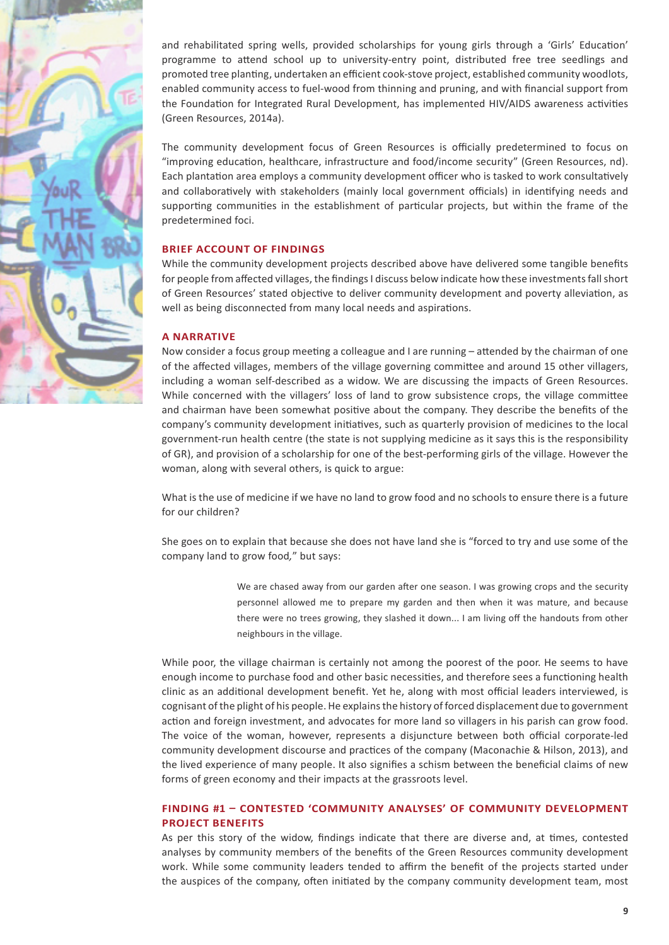

and rehabilitated spring wells, provided scholarships for young girls through a 'Girls' Education' programme to attend school up to university-entry point, distributed free tree seedlings and promoted tree planting, undertaken an efficient cook-stove project, established community woodlots, enabled community access to fuel-wood from thinning and pruning, and with financial support from the Foundation for Integrated Rural Development, has implemented HIV/AIDS awareness activities (Green Resources, 2014a).

The community development focus of Green Resources is officially predetermined to focus on "improving education, healthcare, infrastructure and food/income security" (Green Resources, nd). Each plantation area employs a community development officer who is tasked to work consultatively and collaboratively with stakeholders (mainly local government officials) in identifying needs and supporting communities in the establishment of particular projects, but within the frame of the predetermined foci.

# **BRIEF ACCOUNT OF FINDINGS**

While the community development projects described above have delivered some tangible benefits for people from affected villages, the findings I discuss below indicate how these investments fall short of Green Resources' stated objective to deliver community development and poverty alleviation, as well as being disconnected from many local needs and aspirations.

# **A NARRATIVE**

Now consider a focus group meeting a colleague and I are running – attended by the chairman of one of the affected villages, members of the village governing committee and around 15 other villagers, including a woman self-described as a widow. We are discussing the impacts of Green Resources. While concerned with the villagers' loss of land to grow subsistence crops, the village committee and chairman have been somewhat positive about the company. They describe the benefits of the company's community development initiatives, such as quarterly provision of medicines to the local government-run health centre (the state is not supplying medicine as it says this is the responsibility of GR), and provision of a scholarship for one of the best-performing girls of the village. However the woman, along with several others, is quick to argue:

What is the use of medicine if we have no land to grow food and no schools to ensure there is a future for our children?

She goes on to explain that because she does not have land she is "forced to try and use some of the company land to grow food*,*" but says:

> We are chased away from our garden after one season. I was growing crops and the security personnel allowed me to prepare my garden and then when it was mature, and because there were no trees growing, they slashed it down... I am living off the handouts from other neighbours in the village.

While poor, the village chairman is certainly not among the poorest of the poor. He seems to have enough income to purchase food and other basic necessities, and therefore sees a functioning health clinic as an additional development benefit. Yet he, along with most official leaders interviewed, is cognisant of the plight of his people. He explains the history of forced displacement due to government action and foreign investment, and advocates for more land so villagers in his parish can grow food. The voice of the woman, however, represents a disjuncture between both official corporate-led community development discourse and practices of the company (Maconachie & Hilson, 2013), and the lived experience of many people. It also signifies a schism between the beneficial claims of new forms of green economy and their impacts at the grassroots level.

# **FINDING #1 – CONTESTED 'COMMUNITY ANALYSES' OF COMMUNITY DEVELOPMENT PROJECT BENEFITS**

As per this story of the widow, findings indicate that there are diverse and, at times, contested analyses by community members of the benefits of the Green Resources community development work. While some community leaders tended to affirm the benefit of the projects started under the auspices of the company, often initiated by the company community development team, most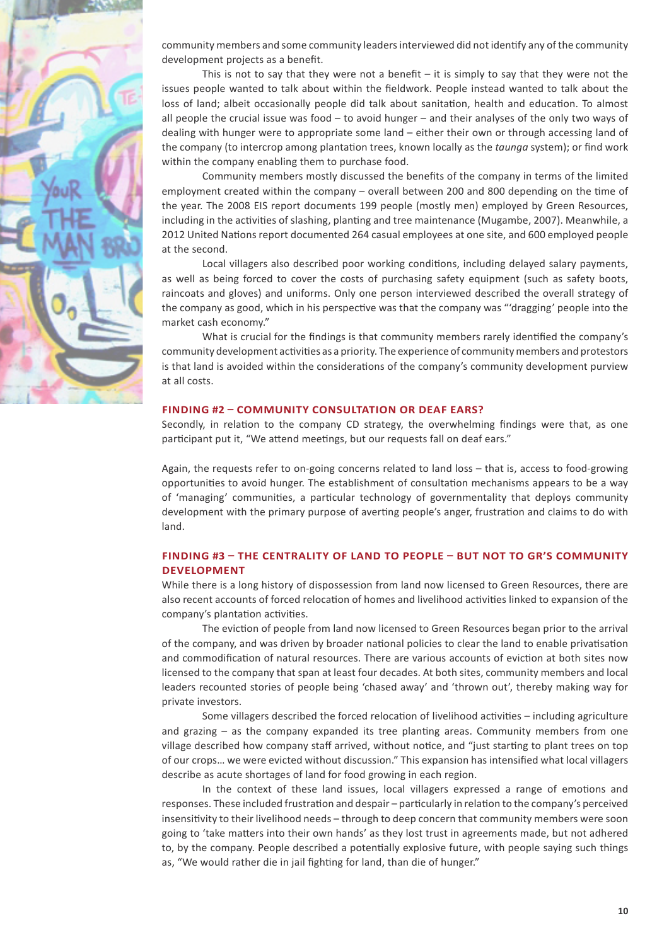

community members and some community leaders interviewed did not identify any of the community development projects as a benefit.

This is not to say that they were not a benefit  $-$  it is simply to say that they were not the issues people wanted to talk about within the fieldwork. People instead wanted to talk about the loss of land; albeit occasionally people did talk about sanitation, health and education. To almost all people the crucial issue was food  $-$  to avoid hunger  $-$  and their analyses of the only two ways of dealing with hunger were to appropriate some land – either their own or through accessing land of the company (to intercrop among plantation trees, known locally as the *taunga* system); or find work within the company enabling them to purchase food.

Community members mostly discussed the benefits of the company in terms of the limited employment created within the company – overall between 200 and 800 depending on the time of the year. The 2008 EIS report documents 199 people (mostly men) employed by Green Resources, including in the activities of slashing, planting and tree maintenance (Mugambe, 2007). Meanwhile, a 2012 United Nations report documented 264 casual employees at one site, and 600 employed people at the second.

Local villagers also described poor working conditions, including delayed salary payments, as well as being forced to cover the costs of purchasing safety equipment (such as safety boots, raincoats and gloves) and uniforms. Only one person interviewed described the overall strategy of the company as good, which in his perspective was that the company was "'dragging' people into the market cash economy."

What is crucial for the findings is that community members rarely identified the company's community development activities as a priority. The experience of community members and protestors is that land is avoided within the considerations of the company's community development purview at all costs.

## **FINDING #2 – COMMUNITY CONSULTATION OR DEAF EARS?**

Secondly, in relation to the company CD strategy, the overwhelming findings were that, as one participant put it, "We attend meetings, but our requests fall on deaf ears."

Again, the requests refer to on-going concerns related to land loss – that is, access to food-growing opportunities to avoid hunger. The establishment of consultation mechanisms appears to be a way of 'managing' communities, a particular technology of governmentality that deploys community development with the primary purpose of averting people's anger, frustration and claims to do with land.

# **FINDING #3 – THE CENTRALITY OF LAND TO PEOPLE – BUT NOT TO GR'S COMMUNITY DEVELOPMENT**

While there is a long history of dispossession from land now licensed to Green Resources, there are also recent accounts of forced relocation of homes and livelihood activities linked to expansion of the company's plantation activities.

The eviction of people from land now licensed to Green Resources began prior to the arrival of the company, and was driven by broader national policies to clear the land to enable privatisation and commodification of natural resources. There are various accounts of eviction at both sites now licensed to the company that span at least four decades. At both sites, community members and local leaders recounted stories of people being 'chased away' and 'thrown out', thereby making way for private investors.

Some villagers described the forced relocation of livelihood activities – including agriculture and grazing – as the company expanded its tree planting areas. Community members from one village described how company staff arrived, without notice, and "just starting to plant trees on top of our crops… we were evicted without discussion." This expansion has intensified what local villagers describe as acute shortages of land for food growing in each region.

In the context of these land issues, local villagers expressed a range of emotions and responses. These included frustration and despair – particularly in relation to the company's perceived insensitivity to their livelihood needs – through to deep concern that community members were soon going to 'take matters into their own hands' as they lost trust in agreements made, but not adhered to, by the company. People described a potentially explosive future, with people saying such things as, "We would rather die in jail fighting for land, than die of hunger."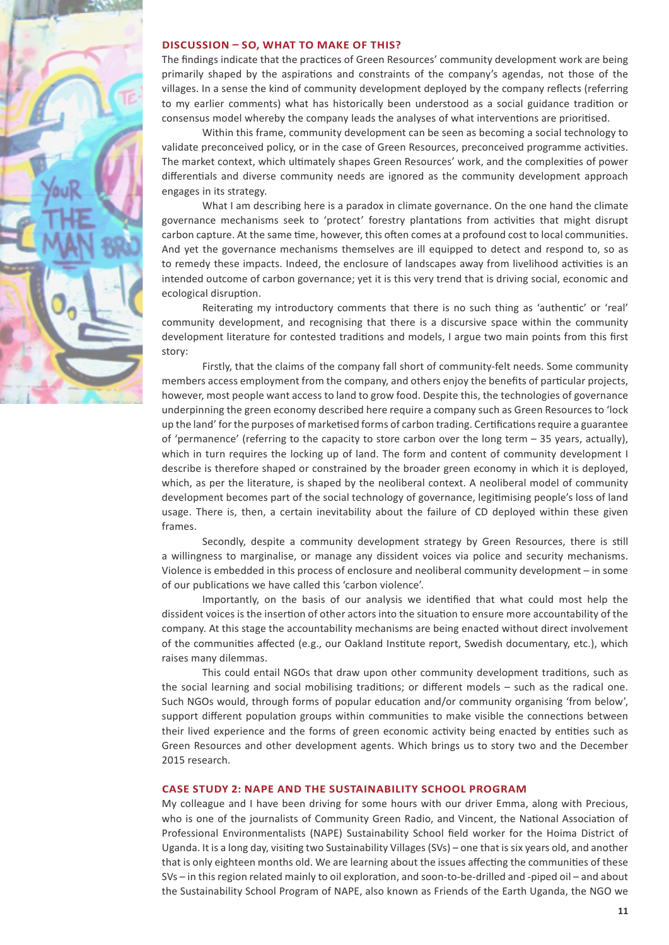

## **DISCUSSION – SO, WHAT TO MAKE OF THIS?**

The findings indicate that the practices of Green Resources' community development work are being primarily shaped by the aspirations and constraints of the company's agendas, not those of the villages. In a sense the kind of community development deployed by the company reflects (referring to my earlier comments) what has historically been understood as a social guidance tradition or consensus model whereby the company leads the analyses of what interventions are prioritised.

Within this frame, community development can be seen as becoming a social technology to validate preconceived policy, or in the case of Green Resources, preconceived programme activities. The market context, which ultimately shapes Green Resources' work, and the complexities of power differentials and diverse community needs are ignored as the community development approach engages in its strategy.

What I am describing here is a paradox in climate governance. On the one hand the climate governance mechanisms seek to 'protect' forestry plantations from activities that might disrupt carbon capture. At the same time, however, this often comes at a profound cost to local communities. And yet the governance mechanisms themselves are ill equipped to detect and respond to, so as to remedy these impacts. Indeed, the enclosure of landscapes away from livelihood activities is an intended outcome of carbon governance; yet it is this very trend that is driving social, economic and ecological disruption.

Reiterating my introductory comments that there is no such thing as 'authentic' or 'real' community development, and recognising that there is a discursive space within the community development literature for contested traditions and models, I argue two main points from this first story:

Firstly, that the claims of the company fall short of community-felt needs. Some community members access employment from the company, and others enjoy the benefits of particular projects, however, most people want access to land to grow food. Despite this, the technologies of governance underpinning the green economy described here require a company such as Green Resources to 'lock up the land' for the purposes of marketised forms of carbon trading. Certifications require a guarantee of 'permanence' (referring to the capacity to store carbon over the long term – 35 years, actually), which in turn requires the locking up of land. The form and content of community development I describe is therefore shaped or constrained by the broader green economy in which it is deployed, which, as per the literature, is shaped by the neoliberal context. A neoliberal model of community development becomes part of the social technology of governance, legitimising people's loss of land usage. There is, then, a certain inevitability about the failure of CD deployed within these given frames.

Secondly, despite a community development strategy by Green Resources, there is still a willingness to marginalise, or manage any dissident voices via police and security mechanisms. Violence is embedded in this process of enclosure and neoliberal community development – in some of our publications we have called this 'carbon violence'.

Importantly, on the basis of our analysis we identified that what could most help the dissident voices is the insertion of other actors into the situation to ensure more accountability of the company. At this stage the accountability mechanisms are being enacted without direct involvement of the communities affected (e.g., our Oakland Institute report, Swedish documentary, etc.), which raises many dilemmas.

This could entail NGOs that draw upon other community development traditions, such as the social learning and social mobilising traditions; or different models – such as the radical one. Such NGOs would, through forms of popular education and/or community organising 'from below', support different population groups within communities to make visible the connections between their lived experience and the forms of green economic activity being enacted by entities such as Green Resources and other development agents. Which brings us to story two and the December 2015 research.

### **CASE STUDY 2: NAPE AND THE SUSTAINABILITY SCHOOL PROGRAM**

My colleague and I have been driving for some hours with our driver Emma, along with Precious, who is one of the journalists of Community Green Radio, and Vincent, the National Association of Professional Environmentalists (NAPE) Sustainability School field worker for the Hoima District of Uganda. It is a long day, visiting two Sustainability Villages (SVs) – one that is six years old, and another that is only eighteen months old. We are learning about the issues affecting the communities of these SVs – in this region related mainly to oil exploration, and soon-to-be-drilled and -piped oil – and about the Sustainability School Program of NAPE, also known as Friends of the Earth Uganda, the NGO we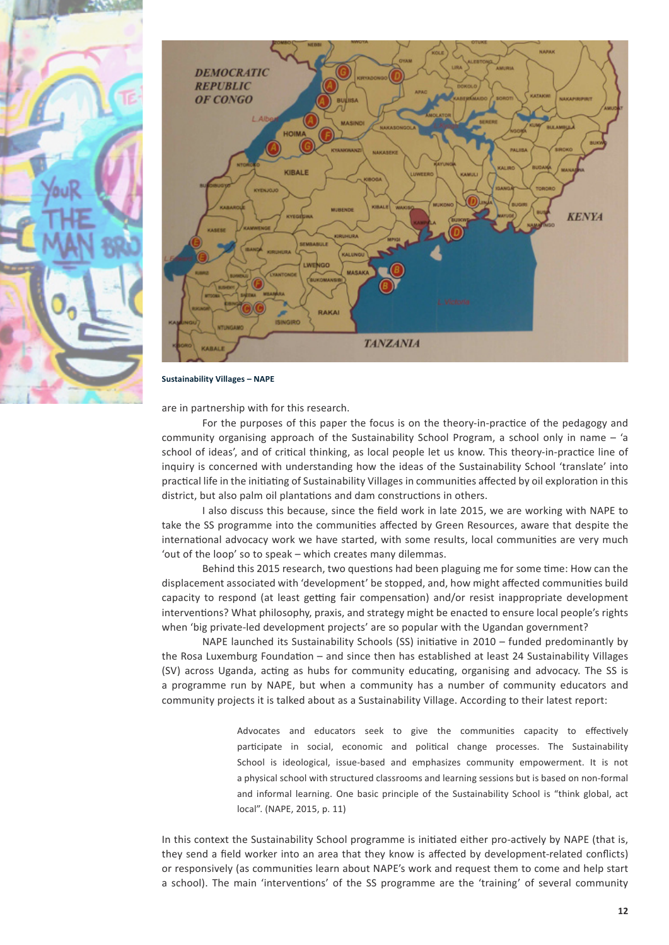



**Sustainability Villages – NAPE**

are in partnership with for this research.

For the purposes of this paper the focus is on the theory-in-practice of the pedagogy and community organising approach of the Sustainability School Program, a school only in name – 'a school of ideas', and of critical thinking, as local people let us know. This theory-in-practice line of inquiry is concerned with understanding how the ideas of the Sustainability School 'translate' into practical life in the initiating of Sustainability Villages in communities affected by oil exploration in this district, but also palm oil plantations and dam constructions in others.

I also discuss this because, since the field work in late 2015, we are working with NAPE to take the SS programme into the communities affected by Green Resources, aware that despite the international advocacy work we have started, with some results, local communities are very much 'out of the loop' so to speak – which creates many dilemmas.

Behind this 2015 research, two questions had been plaguing me for some time: How can the displacement associated with 'development' be stopped, and, how might affected communities build capacity to respond (at least getting fair compensation) and/or resist inappropriate development interventions? What philosophy, praxis, and strategy might be enacted to ensure local people's rights when 'big private-led development projects' are so popular with the Ugandan government?

NAPE launched its Sustainability Schools (SS) initiative in 2010 – funded predominantly by the Rosa Luxemburg Foundation – and since then has established at least 24 Sustainability Villages (SV) across Uganda, acting as hubs for community educating, organising and advocacy. The SS is a programme run by NAPE, but when a community has a number of community educators and community projects it is talked about as a Sustainability Village. According to their latest report:

> Advocates and educators seek to give the communities capacity to effectively participate in social, economic and political change processes. The Sustainability School is ideological, issue-based and emphasizes community empowerment. It is not a physical school with structured classrooms and learning sessions but is based on non-formal and informal learning. One basic principle of the Sustainability School is "think global, act local". (NAPE, 2015, p. 11)

In this context the Sustainability School programme is initiated either pro-actively by NAPE (that is, they send a field worker into an area that they know is affected by development-related conflicts) or responsively (as communities learn about NAPE's work and request them to come and help start a school). The main 'interventions' of the SS programme are the 'training' of several community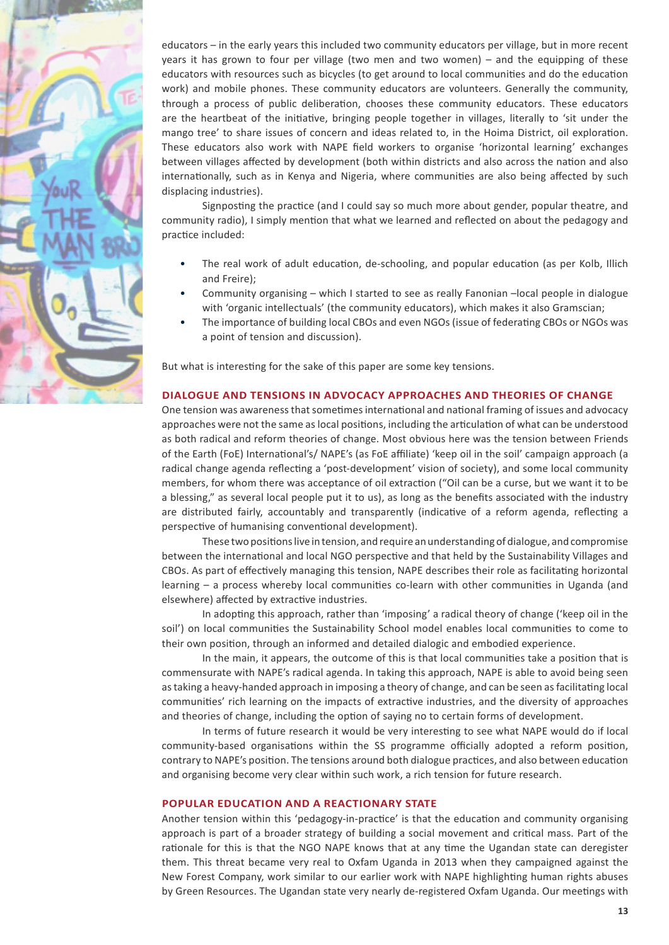

educators – in the early years this included two community educators per village, but in more recent years it has grown to four per village (two men and two women) – and the equipping of these educators with resources such as bicycles (to get around to local communities and do the education work) and mobile phones. These community educators are volunteers. Generally the community, through a process of public deliberation, chooses these community educators. These educators are the heartbeat of the initiative, bringing people together in villages, literally to 'sit under the mango tree' to share issues of concern and ideas related to, in the Hoima District, oil exploration. These educators also work with NAPE field workers to organise 'horizontal learning' exchanges between villages affected by development (both within districts and also across the nation and also internationally, such as in Kenya and Nigeria, where communities are also being affected by such displacing industries).

Signposting the practice (and I could say so much more about gender, popular theatre, and community radio), I simply mention that what we learned and reflected on about the pedagogy and practice included:

- The real work of adult education, de-schooling, and popular education (as per Kolb, Illich and Freire);
- Community organising which I started to see as really Fanonian –local people in dialogue with 'organic intellectuals' (the community educators), which makes it also Gramscian;
- The importance of building local CBOs and even NGOs (issue of federating CBOs or NGOs was a point of tension and discussion).

But what is interesting for the sake of this paper are some key tensions.

#### **DIALOGUE AND TENSIONS IN ADVOCACY APPROACHES AND THEORIES OF CHANGE**

One tension was awareness that sometimes international and national framing of issues and advocacy approaches were not the same as local positions, including the articulation of what can be understood as both radical and reform theories of change. Most obvious here was the tension between Friends of the Earth (FoE) International's/ NAPE's (as FoE affiliate) 'keep oil in the soil' campaign approach (a radical change agenda reflecting a 'post-development' vision of society), and some local community members, for whom there was acceptance of oil extraction ("Oil can be a curse, but we want it to be a blessing," as several local people put it to us), as long as the benefits associated with the industry are distributed fairly, accountably and transparently (indicative of a reform agenda, reflecting a perspective of humanising conventional development).

These two positions live in tension, and require an understanding of dialogue, and compromise between the international and local NGO perspective and that held by the Sustainability Villages and CBOs. As part of effectively managing this tension, NAPE describes their role as facilitating horizontal learning – a process whereby local communities co-learn with other communities in Uganda (and elsewhere) affected by extractive industries.

In adopting this approach, rather than 'imposing' a radical theory of change ('keep oil in the soil') on local communities the Sustainability School model enables local communities to come to their own position, through an informed and detailed dialogic and embodied experience.

In the main, it appears, the outcome of this is that local communities take a position that is commensurate with NAPE's radical agenda. In taking this approach, NAPE is able to avoid being seen as taking a heavy-handed approach in imposing a theory of change, and can be seen as facilitating local communities' rich learning on the impacts of extractive industries, and the diversity of approaches and theories of change, including the option of saying no to certain forms of development.

In terms of future research it would be very interesting to see what NAPE would do if local community-based organisations within the SS programme officially adopted a reform position, contrary to NAPE's position. The tensions around both dialogue practices, and also between education and organising become very clear within such work, a rich tension for future research.

# **POPULAR EDUCATION AND A REACTIONARY STATE**

Another tension within this 'pedagogy-in-practice' is that the education and community organising approach is part of a broader strategy of building a social movement and critical mass. Part of the rationale for this is that the NGO NAPE knows that at any time the Ugandan state can deregister them. This threat became very real to Oxfam Uganda in 2013 when they campaigned against the New Forest Company, work similar to our earlier work with NAPE highlighting human rights abuses by Green Resources. The Ugandan state very nearly de-registered Oxfam Uganda. Our meetings with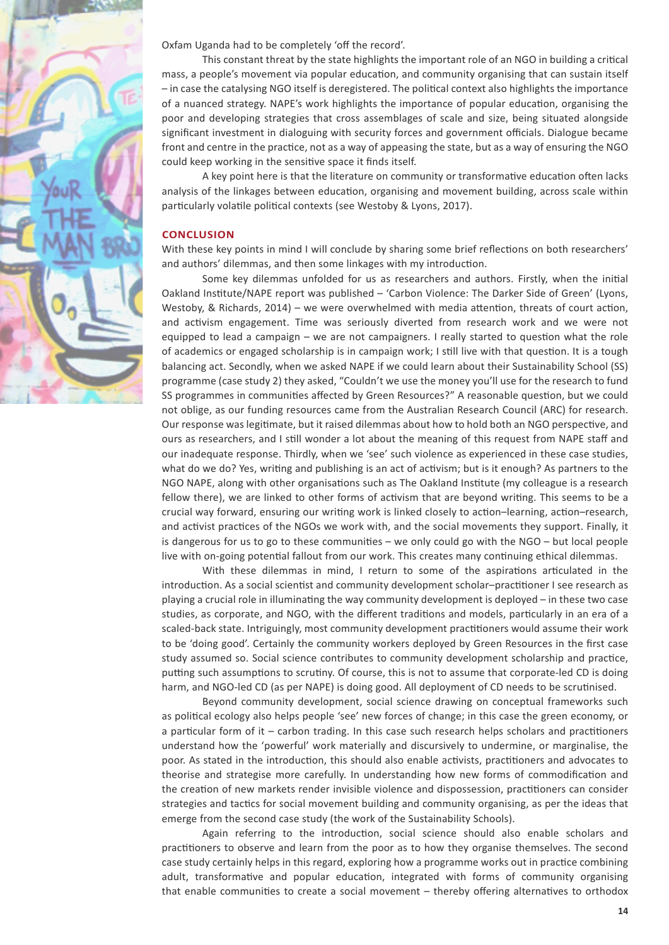

Oxfam Uganda had to be completely 'off the record'.

This constant threat by the state highlights the important role of an NGO in building a critical mass, a people's movement via popular education, and community organising that can sustain itself – in case the catalysing NGO itself is deregistered. The political context also highlights the importance of a nuanced strategy. NAPE's work highlights the importance of popular education, organising the poor and developing strategies that cross assemblages of scale and size, being situated alongside significant investment in dialoguing with security forces and government officials. Dialogue became front and centre in the practice, not as a way of appeasing the state, but as a way of ensuring the NGO could keep working in the sensitive space it finds itself.

A key point here is that the literature on community or transformative education often lacks analysis of the linkages between education, organising and movement building, across scale within particularly volatile political contexts (see Westoby & Lyons, 2017).

#### **CONCLUSION**

With these key points in mind I will conclude by sharing some brief reflections on both researchers' and authors' dilemmas, and then some linkages with my introduction.

Some key dilemmas unfolded for us as researchers and authors. Firstly, when the initial Oakland Institute/NAPE report was published – 'Carbon Violence: The Darker Side of Green' (Lyons, Westoby, & Richards, 2014) – we were overwhelmed with media attention, threats of court action, and activism engagement. Time was seriously diverted from research work and we were not equipped to lead a campaign – we are not campaigners. I really started to question what the role of academics or engaged scholarship is in campaign work; I still live with that question. It is a tough balancing act. Secondly, when we asked NAPE if we could learn about their Sustainability School (SS) programme (case study 2) they asked, "Couldn't we use the money you'll use for the research to fund SS programmes in communities affected by Green Resources?" A reasonable question, but we could not oblige, as our funding resources came from the Australian Research Council (ARC) for research. Our response was legitimate, but it raised dilemmas about how to hold both an NGO perspective, and ours as researchers, and I still wonder a lot about the meaning of this request from NAPE staff and our inadequate response. Thirdly, when we 'see' such violence as experienced in these case studies, what do we do? Yes, writing and publishing is an act of activism; but is it enough? As partners to the NGO NAPE, along with other organisations such as The Oakland Institute (my colleague is a research fellow there), we are linked to other forms of activism that are beyond writing. This seems to be a crucial way forward, ensuring our writing work is linked closely to action–learning, action–research, and activist practices of the NGOs we work with, and the social movements they support. Finally, it is dangerous for us to go to these communities – we only could go with the NGO – but local people live with on-going potential fallout from our work. This creates many continuing ethical dilemmas.

With these dilemmas in mind, I return to some of the aspirations articulated in the introduction. As a social scientist and community development scholar–practitioner I see research as playing a crucial role in illuminating the way community development is deployed – in these two case studies, as corporate, and NGO, with the different traditions and models, particularly in an era of a scaled-back state. Intriguingly, most community development practitioners would assume their work to be 'doing good'. Certainly the community workers deployed by Green Resources in the first case study assumed so. Social science contributes to community development scholarship and practice, putting such assumptions to scrutiny. Of course, this is not to assume that corporate-led CD is doing harm, and NGO-led CD (as per NAPE) is doing good. All deployment of CD needs to be scrutinised.

Beyond community development, social science drawing on conceptual frameworks such as political ecology also helps people 'see' new forces of change; in this case the green economy, or a particular form of it – carbon trading. In this case such research helps scholars and practitioners understand how the 'powerful' work materially and discursively to undermine, or marginalise, the poor. As stated in the introduction, this should also enable activists, practitioners and advocates to theorise and strategise more carefully. In understanding how new forms of commodification and the creation of new markets render invisible violence and dispossession, practitioners can consider strategies and tactics for social movement building and community organising, as per the ideas that emerge from the second case study (the work of the Sustainability Schools).

Again referring to the introduction, social science should also enable scholars and practitioners to observe and learn from the poor as to how they organise themselves. The second case study certainly helps in this regard, exploring how a programme works out in practice combining adult, transformative and popular education, integrated with forms of community organising that enable communities to create a social movement – thereby offering alternatives to orthodox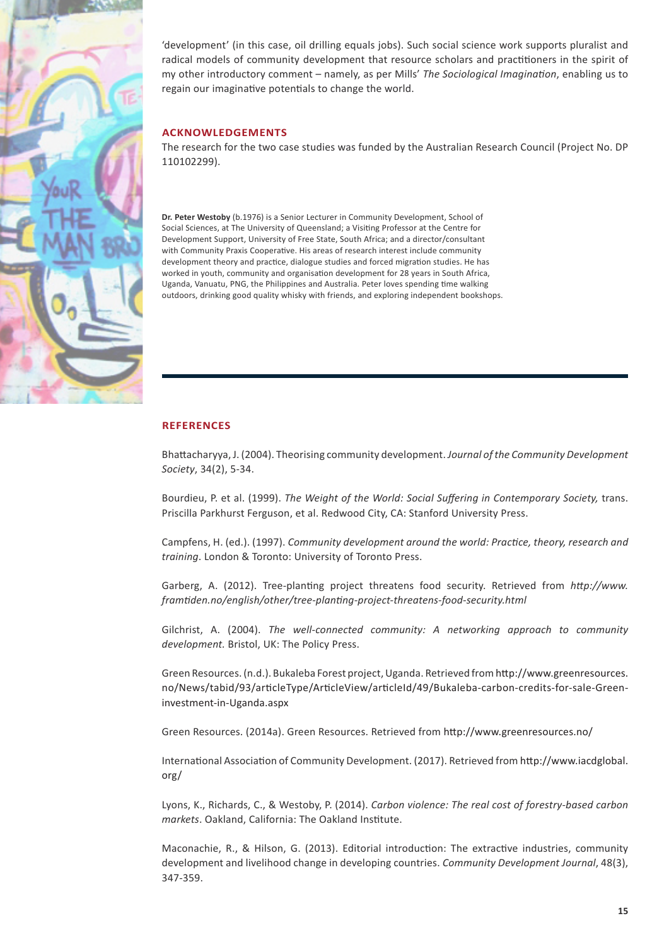

'development' (in this case, oil drilling equals jobs). Such social science work supports pluralist and radical models of community development that resource scholars and practitioners in the spirit of my other introductory comment – namely, as per Mills' *The Sociological Imagination*, enabling us to regain our imaginative potentials to change the world.

# **ACKNOWLEDGEMENTS**

The research for the two case studies was funded by the Australian Research Council (Project No. DP 110102299).

**Dr. Peter Westoby** (b.1976) is a Senior Lecturer in Community Development, School of Social Sciences, at The University of Queensland; a Visiting Professor at the Centre for Development Support, University of Free State, South Africa; and a director/consultant with Community Praxis Cooperative. His areas of research interest include community development theory and practice, dialogue studies and forced migration studies. He has worked in youth, community and organisation development for 28 years in South Africa, Uganda, Vanuatu, PNG, the Philippines and Australia. Peter loves spending time walking outdoors, drinking good quality whisky with friends, and exploring independent bookshops.

### **REFERENCES**

Bhattacharyya, J. (2004). Theorising community development. *Journal of the Community Development Society*, 34(2), 5-34.

Bourdieu, P. et al. (1999). *The Weight of the World: Social Suffering in Contemporary Society,* trans. Priscilla Parkhurst Ferguson, et al. Redwood City, CA: Stanford University Press.

Campfens, H. (ed.). (1997). *Community development around the world: Practice, theory, research and training*. London & Toronto: University of Toronto Press.

Garberg, A. (2012). Tree-planting project threatens food security. Retrieved from *http://www. framtiden.no/english/other/tree-planting-project-threatens-food-security.html* 

Gilchrist, A. (2004). *The well-connected community: A networking approach to community development.* Bristol, UK: The Policy Press.

Green Resources. (n.d.). Bukaleba Forest project, Uganda. Retrieved from http://www.greenresources. no/News/tabid/93/articleType/ArticleView/articleId/49/Bukaleba-carbon-credits-for-sale-Greeninvestment-in-Uganda.aspx

Green Resources. (2014a). Green Resources. Retrieved from http://www.greenresources.no/

International Association of Community Development. (2017). Retrieved from http://www.iacdglobal. org/

Lyons, K., Richards, C., & Westoby, P. (2014). *Carbon violence: The real cost of forestry-based carbon markets*. Oakland, California: The Oakland Institute.

Maconachie, R., & Hilson, G. (2013). Editorial introduction: The extractive industries, community development and livelihood change in developing countries. *Community Development Journal*, 48(3), 347-359.